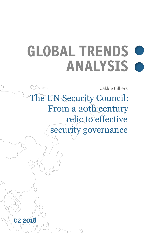# **GLOBAL TRENDS ANALYSIS**

Jakkie Cilliers

The UN Security Council: From a 20th century relic to effective security governance

02 **2018**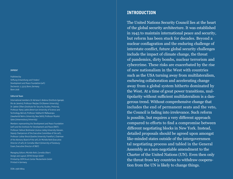#### IMPRINT

Published by Stiftung Entwicklung und Frieden/ Development and Peace Foundation (sef:) Dechenstr. 2, 53115 Bonn, Germany

#### Editorial Team

Bonn 2018

International members: Dr Adriana E. Abdenur (Instituto Igarapé, Rio de Janeiro), Professor Manjiao Chi (Xiamen University), Dr Jakkie Cilliers (Institute for Security Studies, Pretoria), Professor Ramy Lakkis (American University of Science and Technology, Beirut), Professor Siddharth Mallavarapu (Jawaharlal Nehru University, New Delhi), Professor Mzukisi Qobo (Johannesburg University)

Members representing the Development and Peace Foundation (sef:) and the Institute for Development and Peace (INEF): Professor Helmut Breitmeier (Justus Liebig University Giessen, Deputy Chairperson of the Executive Committee of the sef:), Professor Lothar Brock (Goethe University Frankfurt, Chairman of the Advisory Board of the sef:), Dr Michèle Roth (Executive Director of sef:), Dr Cornelia Ulbert (University of Duisburg-Essen, Executive Director of INEF)

Managing Editors: Michèle Roth, Cornelia Ulbert Design and Layout: DITHO Design GmbH Printed by: DCM Druck Center Meckenheim GmbH Printed in Germany

ISSN: 2568-8804

## **INTRODUCTION**

The United Nations Security Council lies at the heart of the global security architecture. It was established in 1945 to maintain international peace and security, but reform has been stuck for decades. Beyond a nuclear conflagration and the enduring challenge of interstate conflict, future global security challenges include the impact of climate change, the threat of pandemics, dirty bombs, nuclear terrorism and cybercrime. These risks are exacerbated by the rise of new nationalism in the West with countries such as the USA turning away from multilateralism, eschewing collaboration and accelerating change away from a global system hitherto dominated by the West. At a time of great power transitions, mul tipolarity without sufficient multilateralism is a dan gerous trend. Without comprehensive change that includes the end of permanent seats and the veto, the Council is fading into irrelevance. Such reform is possible, but requires a very different approach compared to efforts to find a compromise between different negotiating blocks in New York. Instead, detailed proposals should be agreed upon amongst like-minded states outside of the intergovernmen tal negotiating process and tabled in the General Assembly as a non-negotiable amendment to the Charter of the United Nations (UN). Even then only the threat from key countries to withdraw cooperation from the UN is likely to change things.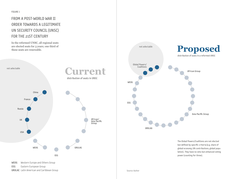## FROM A POST-WORLD WAR II ORDER TOWARDS A LEGITIMATE UN SECURITY COUNCIL (UNSC) FOR THE 21ST CENTURY

In the reformed UNSC, all regional seats are elected seats for 3 years; one third of these seats are renewable.





The Global Powers/Coalitions are not elected but defined by specific criteria (e.g. share of global economy, UN contributions, global population). They have no veto but enhanced voting power (counting for three).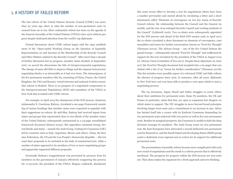## 1. A HISTORY OF FAILED REFORM

The last reform of the United Nations Security Council (UNSC) was more than 50 years ago when in 1965 the number of non-permanent seats increased from six to ten. More substantial reform has been on the agenda of the General Assembly of the United Nations (UNGA) since 1979 without progress despite dedicated attention from the world's top diplomats.

Formal discussions about UNSC reform began with the 1993 establishment of the "Open-ended Working Group on the Question of Equitable Representation on and Increase in the Membership of the Security Council and Other Matters related to the Security Council". After more than a decade of further discussion but no progress, member states decided, in September 2007, to accord the discussions the title of intergovernmental negotiations. The change of name did little to improve things and the impasse between key negotiating blocks is as intractable as it had ever been. The intransigence of the five permanent members (the P5, consisting of China, France, the United Kingdom, the USA and Russia), vested interests and national rivalries ensure that reform is blocked. There is no prospect of a negotiated compromise in the Intergovernmental Negotiations (IGN) sub-committee of the UNGA in New York that is tasked with UNSC reform.

For example, in April 2015 the chairperson of the IGN process, Jamaican Ambassador E. Courtenay Rattray, circulated a one-page Framework consisting of various headings that member states were requested to populate with their suggestions on reform. By mid-May, Rattray had received inputs from states and groups that represented close to two-thirds of the member states of the United Nations, subsequently summarised in a 24-page consolidated framework document (Kutesa 2015c). But opposition remained strong. Several blocks and states – namely the Arab Group, Uniting for Consensus (UfC) led by countries such as Italy, Argentina, Mexico and others, China, the Russian Federation, the US and the Lao People's Democratic Republic – did not want their proposals to be included in the body of summarised text, while a number of states appeared to be members of two or more negotiating groups and apparently supported different proposals.

Eventually Rattray's reappointment was prevented by pressure from P5 members on the government of Jamaica effectively scuppering the process. On 17.05.2016, the president of the UNGA, Mogens Lykketoft, abandoned

this most recent effort to develop a text for negotiations (there have been a number previously) and started afresh by circulating a letter and a short attachment called "Elements of convergence on two key issues of Security Council reform: the relationship between the Council and the General Assembly, and the size of an enlarged Security Council and working methods of the Council" (Lykketoft 2016). Two co-chairs were subsequently appointed for the IGN process and ahead of the third IGN session early in April 2017, the co-chairs circulated a short document on elements of convergence, communalities and issues for further conversation, known as "Food for Thought" (Thomson 2017a). The African Group – one of the five United Nations Regional Groups – subsequently rejected "Food for Thought" and reaffirmed its support for the text circulated by the president of the UNGA in August 2015 (cf. African Union Committee of Ten 2017). Despite these objections, by June 2017 the Food for Thought document had morphed into a six-pager that concluded with a list of 22 "issues for further consideration" (Thomson 2017b). This list includes every possible aspect of a reformed UNSC and fully reflects the absence of progress since 1979. In summary, after 38 years, diplomats in New York have not even been able to produce a text upon which to start a negotiating process.

The G4 (Germany, Japan, Brazil and India) struggles to excite others about their ambitions for permanent seats. Some P5 members, the UK and France in particular, claim that they are open to expansion but disagree on which states to support. The UfC struggles to move beyond broad principles involving longer-term seats and a commitment to an increase in size. Africa has backed itself into a corner with its Ezulwini Consensus demanding for two permanent seats endowed with veto power as well as five non-permanent seats. Besides its marginal prospects, the Consensus is unable to hide the deep divisions amongst its members. The Arab Group wants its own permanent seat, the East Europeans have advocated a second dedicated non-permanent seat for themselves, and the Small Island and Developing States (SIDS) group wants a dedicated cross-regional seat in return for its support for additional permanent seats.

The permutations of possible reform become more complicated with each new round of negotiations and the result is a reform process that is effectively moribund. The prospects for progress within the IGN process are non-existent. That alone makes the argument for a fresh approach and new thinking.

 $\sim$  6  $\sim$  7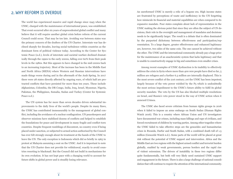## 2. WHY REFORM IS OVERDUE

The world has experienced massive and rapid change since 1945 when the UNSC, charged with the maintenance of international peace, was established. That event occurred after six years of unprecedented global conflict and many believe that it will require another global crisis before reform of the current Council could occur. That may be too late. Avoiding war between states was the primary concern of the drafters of the UN Charter. Interstate war has declined sharply for decades, leaving social turbulence within countries as the dominant form of political violence today. According to the Center for Systemic Peace (n.d.), levels of interstate and societal warfare declined dramatically through the 1990s to the early 2000s, falling over 60% from their peak levels in the 1980s. But this appears to have changed in the mid-2000s back to an increasing trajectory. Most of the increase has been in the Middle East and North Africa (MENA) where Western and Russian interventions have made things worse during and in the aftermath of the Arab Spring. In 2017 there were 28 states directly affected by ongoing wars, of which half are protracted conflicts that have persisted for more than ten years. These include Afghanistan, Colombia, the DR Congo, India, Iraq, Israel, Myanmar, Nigeria, Pakistan, the Philippines, Somalia, Sudan and Turkey (Center for Systemic Peace n.d.).

The UN system has for more than seven decades driven substantial improvements to the daily lives of the world's people. Despite its many flaws, the UNSC has contributed immeasurably to the management of global conflict, including the avoidance of a nuclear conflagration. UN peacekeepers and observer missions have stabilised dozens of conflicts and helped to establish the foundations for peace and development in many fragile and conflict-torn countries. Despite frequent rumblings of discontent, no country even if being placed under sanction, or subjected to armed action authorised by the Council has ever felt strongly enough about its treatment at the hands of the UNSC to leave the UN. The only exception is Indonesia which did so briefly in 1965 in protest at Malaysia assuming a seat on the UNSC. And it is important to note that the UN Charter does not provide for withdrawal, exactly to avoid countries resorting to blackmail. But the Council did not build in mechanisms for its own evolution. It has not kept pace with a changing world to account for future shifts in global power and is steadily losing relevance.

An unreformed UNSC is merely a relic of a bygone era. High income states are frustrated by perceptions of waste and inefficiency in the UN forgetting how miniscule its financial and material capabilities are when compared to its expansive mandate. Poor states complain about lack of representation in the UNSC making the obvious point that since they are often the subject of UN decisions, their role in the oversight and management of mandates and decisions needs to be significantly larger. The result is a debate that is often dominated by the purported dichotomy between effectiveness and participation/representation. To a large degree, greater effectiveness and enhanced legitimacy are, however, two sides of the same coin. The one cannot be achieved without the other. The UNSC and the international community already pay a huge price for the maintenance of an anachronistic system that lacks legitimacy and that is unable to constructively engage in big and sometimes even smaller crises.

Among recent examples of UNSC dysfunction is its inability to effectively address the crisis in Syria where more than 400 000 people have died so far, 5 million are refugees and a further 6.3 million are internally displaced. This is the most severe conflict of the 21st century; yet the UNSC has been impotent, largely because of the veto power wielded by the P5 which is undoubtedly the most serious impediment to the UNSC's future ability to fulfil its global security mandate. The veto by the US has also blocked multiple resolutions on Israel, and Russia's veto power stood in the way of UNSC action when it annexed Crimea.

The UNSC also faced severe criticism from human rights groups in 2016 when it failed to impose an arms embargo on South Sudan (Human Rights Watch 2016). This is a country where African Union and UN investigators have documented war crimes, including mass killings and rape of civilians, and forced recruitment of children by warring parties. Among other tragedies where the UNSC failed to take effective steps are the genocides and humanitarian crises in Rwanda, Darfur and South Sudan, with a combined death toll of 1.5 million (Genocide Watch n.d.). Some parts of the world will be placed at great risk without the potential of UNSC support and intervention. Africa and the Middle East are two regions with the highest armed conflict and terrorist burden globally, enabled by weak governments, porous borders and the rapid rise of violent extremism. The drivers of instability in these two regions differ quite fundamentally, but both will very likely need sustained UNSC support and engagement in the future. There is also a large challenge of national consolidation that will continue to require the attention of the international community.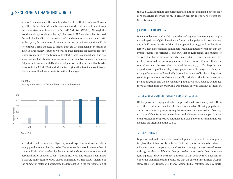## 3. SECURING A CHANGING WORLD

A mere 51 states signed the founding charter of the United Nations 72 years ago. The UN now has 193 member states in a world that is very different from the circumstances at the end of the Second World War (WW II). Although the world is unlikely to witness the rapid increase in UN members that followed the end of colonialism in the 1960s, and the dissolution of the former USSR in the 1990s, the trend towards greater assertion of national identity is likely to continue. This is expected to further increase UN membership. Secession is likely in large countries such as Nigeria, and the demands for independence by ethnic groups such as the Kurds could affect a large neighbourhood. The rise of sub-national identities is also evident in richer countries, as seen in Canada, Belgium and currently with Catalonia in Spain. Yet borders are most likely to be redrawn in the Middle East and Africa, two regions that face the most intractable state consolidation and state formation challenges.



History and forecast of the number of UN member states



Source: Author

A modest trend forecast [see Figure 2] would expect around 210 members in 2053 and 226 members by 2089. The expected increase in the number of states is likely to be matched by the continued push for more autonomy and decentralization of power to sub-state and city level. The result is a continued, if slower, momentum towards global fragmentation. The steady increase in the number of states will accentuate the large deficit in the representation of

the UNSC. In addition to global fragmentation, the relationship between four core challenges motivate for much greater urgency in efforts to reform the Security Council.

#### 3.1 MIND THE INCOME GAP

Inequality between and within countries and regions is emerging as the primary deep driver of global tensions. Africa's total population in 2015 was two and a half times the size of that of Europe and by 2053 will be five times larger. These discrepancies in numbers would not matter were it not that the average income of Africans is only 13% that of Europeans. The number of Africans that live in extreme poverty (below 1.90 US-\$ per person per day) is likely to exceed the entire population of the European Union with its current 28 members by 2022 (International Futures v 7.31). The large income disparities on top of its much younger population will change over time, but not significantly and will inevitably drive migration as well as instability since youthful populations are also more socially turbulent. This is just one example but migration and the movement of populations have steadily demanded more attention from the UNSC in a trend that is likely to continue to intensify.

#### 3.2 RESOURCE COMPETITION AS A DRIVER OF CONFLICT

Global peace after 1945 unleashed unprecedented economic growth. However, the trend in increased wealth is not sustainable. Growing populations and expectations of prosperity require resources in some regions that may not be available for future generations. And while resource competition has often resulted in cooperative solutions, it is also a driver of conflict that will demand the attention of the UNSC.

#### 3.3 NEW THREATS

In general and aside from post-2010 developments, the world is a more peaceful place than it has ever been before. Yet that comfort needs to be balanced with the potential impact of armed conflict amongst nuclear armed states. Although nuclear proliferation has proceeded more slowly than most analysts expected, analysis by think tanks such as that done by the James Martin Center for Nonproliferation Studies are that the current nine nuclear weapon states (the USA, Russia, UK, France, China, India, Pakistan, Israel & North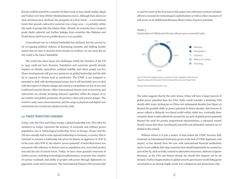Korea) could be joined by a number of others such as Iran, Saudi Arabia, Egypt and Turkey over time (Potter/Mukhatzhanova 2010). Although fears about nuclear terrorism have declined, the prospects of a dirty bomb – a conventional bomb that spreads radioactive material over a large area – is probably within the reach of groups like the Islamic State. Already 26 countries have weapons grade fissile material and further leakage from countries like Pakistan and North Korea (both known proliferators) is very possible.

Conventional war in a defined battlefield has declined, but the current cycle of ongoing political violence of fluctuating intensity and shifting locality means that no state is immune from attacks on civilians. In one sense the entire world is the future battlefield.

The world also faces many new challenges which the founders of the UN in 1945 could not have foreseen. Population and economic growth already impacts on climate, agriculture, political stability and where people can live. These developments will put new pressures on global leadership and the ability to respond to threats such as pandemics. The UNSC is not designed or intended to deal with developmental issues, but it will inevitably have to deal with the impact of climate change and resource competition on top of new and traditional security threats. Other transnational threats such as terrorism and cybercrime are already straining national capacities whilst the impact of cyber-attacks and global pandemics all present a clear and present danger. The world is vastly more interconnected, and the surge in physical and digital communication has created new global security risks.

#### 3.4 POWER TRANSITIONS UNDERWAY

Today, only the USA and China occupy a global leadership role. The other P5 members no longer represent the primacy of economic and military power, population size or technological leadership. Even in Europe, France and the UK have steadily had to cede regional leadership to Germany, a country that is reluctant to assume a leadership role given its history as aggressor in WW II. In the years after WW II, the relative 'power potential' of individual states was measured with reference to factors such as population size, iron/steel production and the size of armed forces. Today, we have more granular measures of relative power, including technological sophistication, economic size, number of nuclear warheads and ability to project soft power through diplomatic engagement, trade and investment. The International Futures (IFs) system that

is used for most of the forecasts in this paper (see references section) includes efforts to account for technological sophistication as well as other measures of soft power in its Hillebrand-Herman-Moyer Index of power potential.

#### FIGURE 3

Composition of Hillebrand-Herman-Moyer power potential index



Each of the five categories has a number of sub-categories that in turn draws its data and forecasts in International Futures not shown here

Source: International Futures v 7.31

The index suggests that by the early 2020s, China will have a larger percent of global power potential than the USA. India would overtake a declining USA shortly after 2040, inching up on China over subsequent decades [see Figure 4]. Beyond the possible shifts in power potential in future decades, this forecast of power reflects a distinctly two-tiered world within which two, eventually three countries alone would collectively account for 30-40% of global power potential. Beyond the need for greater proportional representation, a reformed council should ensure that these inordinately powerful and influential countries are included in the council.

Without reform it is just a matter of time before the UNSC becomes fully irrelevant as international frustration grows at the lack of UNSC legitimacy and impact, as has already been the case with international financial institutions. And it is not unlikely that large countries that should legitimately be counted as part of the P5, such as India, commit to alternative structures, obstruct or ignore decisions, as the USA and Russia already do, should this impasse not be addressed. Further fragmentation in global security governance would bring great uncertainty to an already fragile world. It is a dangerous and unnecessary risk.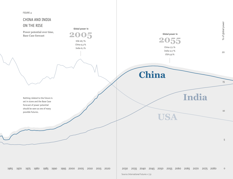

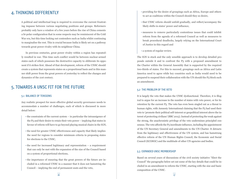## 4. THINKING DIFFERENTLY

A political and intellectual leap is required to overcome the current frustrating impasse between various negotiating positions and groups. Reformers probably only have a window of a few years before the rise of China cements a bi-polar configuration that in some respects may be reminiscent of the Cold War era, but this time locking out contenders such as India whilst continuing to marginalise the rest. This is crucial because India is likely set on a pathway towards great power rivalry with its neighbour China.

In previous centuries, great power rivalry within a region has repeatedly resulted in war. This time such conflict would be between nuclear-armed states each of which possesses the destructive capacity to obliterate its opponent if it strikes first. Ahead of that development, reform of the UNSC should create a system that represents states on a proportional basis and in this manner shift power from the great powers of yesterday to reflect the changes and dynamics of the 21st century.

## 5. TOWARDS A UNSC FIT FOR THE FUTURE

#### 5.1 BALANCE OF TENSIONS

Any realistic prospect for more effective global security governance needs to accommodate a number of challenges, each of which is discussed in more detail below:

- the constraints of the current system in particular the intransigence of the P5 and their desire to retain their veto power – implying that states in favour of reform will have to go beyond playing musical chairs in the IGN,
- the need for greater UNSC effectiveness and capacity that likely implies the need for regions to consider minimum criteria in proposing states for elections to the UNSC,
- the need for increased legitimacy and representation a requirement that can only be met with the expansion of the size of the Council based on a system of proportional elections,
- the importance of ensuring that the great powers of the future are included in a reformed UNSC in a manner that it does not hamstring the Council – implying the end of permanent seats and the veto,
- providing for the desire of groupings such as Africa, Europe and others to act as coalitions within the Council should they so desire,
- that UNSC reform should unfold gradually, and reflect/accompany the likely shifts in states' power and influence,
- measures to remove particularly contentious issues that could inhibit reform from the agenda of a reformed Council as well as measures to break procedural deadlocks, largely relying on the International Court of Justice in this regard and
- a system of regular review.

The IGN is stuck and the only sensible approach is to develop detailed proposals outside it and to confront the P5 with a proposed amendment to the Charter within the General Assembly that is supported by the required two-thirds of states. For this to succeed, groupings such as Africa and Latin America need to agree while key countries such as India would need to be prepared to suspend their collaboration with the UN should the P5 block such an amendment.

#### 5.2 THE PROBLEM OF THE VETO

It is largely the veto that makes the UNSC dysfunctional. Therefore, it is illogical to argue for an increase in the number of states with veto power, or for its retention by the current P5. The veto has even been singled out as a threat to human rights, with Amnesty International claiming that the P5 had used their veto to 'promote their political self-interest or geopolitical interest above the interest of protecting civilians' (BBC 2015). Instead of protecting the weak against the strong, the anachronistic privilege of the veto undermines principled consensus. The veto affords the P5 inordinate influence, including the appointment of the UN Secretary General and amendments to the UN Charter. It detracts from the legitimacy and effectiveness of the UN system, and has hamstrung effective reform of the UN Human Rights Council, the Economic and Social Council (ECOSOC) and the multitude of other UN agencies and bodies.

#### 5.3 EXPANDED UNSC MEMBERSHIP

Based on several years of discussions of the civil society initiative "Elect the Council" the paragraphs below set out some of the key details that could be included in an amendment to reform the UNSC, starting with the size and basic composition of the UNSC.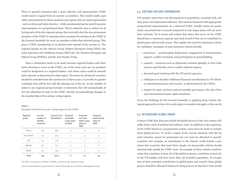There is general consensus that a more effective and representative UNSC would need to expand from its current 15 members. This would enable equitable representation by those countries and regions that are underrepresented – such as Africa and Latin America – while accommodating the need for greater representation on a proportional basis. This is relatively easy to achieve by allowing each of the five regional groups that currently elect the non-permanent members of the UNSC to nominate three countries for election to the UNSC in the General Assembly for every 22 members within that electoral group. This gives a UNSC membership of 24 elected seats instead of the current 10. The regional groups are the African Group, Eastern European Group (EEG), the Latin American and Caribbean Group (GRULAC), the Western European and Others Group (WEOG), and the Asia-Pacific Group.

Since a distinction needs to be made between regional leaders and other states desiring to serve on the UNSC, one of the three seats per 22 members could be designated as a regional leaders' seat where states could be immediately relected, as determined by that region. The terms for all elected countries should be extended from the current two to three years, to provide for greater continuity that will be lost with the phasing out of the P5. As the number of states in any regional group increases or decreases, this will automatically affect the allocation of seats in the UNSC, thereby accommodating changes in the membership of the various voting regions.

#### TABLE 1

Example of elected seats per voting region in the UNSC

| Regional<br>group | Current<br>number of<br>member<br>countries | Current % of<br>UN members | Proposed<br>renewable<br>3-year seats<br>on UNSC | Proposed<br>non-rene-<br>wable 3-year<br>seats on<br><b>UNSC</b> | Proposed<br>total elected<br>seats on<br><b>UNSC</b> |
|-------------------|---------------------------------------------|----------------------------|--------------------------------------------------|------------------------------------------------------------------|------------------------------------------------------|
| Africa            | 54                                          | 28.0                       | 2                                                | 4                                                                | 6                                                    |
| Asia-Pacific      | 53                                          | 27.5                       | 2                                                | 4                                                                | 6                                                    |
| EEG               | 23                                          | 11.9                       | 1                                                | $\overline{c}$                                                   | 3                                                    |
| GRULAC            | 33                                          | 17.1                       | 2                                                | 4                                                                | 6                                                    |
| WEOG              | 30                                          | 15.5                       | 1                                                | 2                                                                | 3                                                    |
| <b>Total</b>      | 193                                         | 100.0                      | 8                                                | 16                                                               | 24                                                   |

The USA is counted as a member of WEOG, currently it has observer status

Source: United Nations Department for General Assembly and Conference Management 2014

#### 5.4 CRITERIA FOR UNSC MEMBERSHIP

UN member states have vast discrepancies in population, economic heft, military power and diplomatic influence. This must be balanced with appropriate proportional representation on a reformed UNSC. Smaller states are particularly concerned that a Council composed of only larger states will not serve their interests. Yet it seems self-evident that states that serve on the UNSC should have a minimum capacity and track record if they are to contribute to global peace and security issues. This implies the need for minimum criteria for candidacy. Examples of such minimum criteria include:

- 1. experience peacekeeping deployment, engagement in humanitarian support, conflict resolution and participation in peacebuilding,
- 2. capacity resources such as diplomatic missions globally, in New York, Geneva and Nairobi, and in conflict-affected regions,
- 3. financial good standing with the UN and its agencies,
- 4. willingness to shoulder additional financial contributions to UN efforts on international peace and security, as determined by the UNGA,
- 5. respect for open, inclusive and accountable governance, the rule of law and international human rights standards.

Given the challenge for the General Assembly in applying these criteria, the logical approach is to leave it to each region to monitor and apply as they see fit.

#### 5.5 RECOGNISING GLOBAL POWER

A future UNSC that does not include the global powers of the 21st century will suffer from a lack of political and military clout. In addition to the expansion of the UNSC based on a proportional system, room must be made to include these global powers. To avoid a repeat of the current situation with the P5, such inclusion cannot be permanent nor can seats be allocated to specific countries. For example, an amendment to the Charter could include a provision that countries that meet three simple yet measurable criteria should automatically qualify for UNSC seats. An example of these criteria would be states that constitute at least 5% of the global economy, contribute at least 5% to the UN budget, and have more than 3% of global population. In recognition of their potential contribution to global peace and security these global powers should be allocated enhanced voting powers (in that their votes would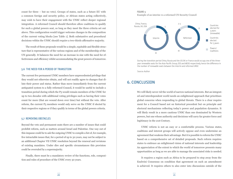count for three – but no veto). Groups of states, such as a future EU with a common foreign and security policy, or African states acting collectively, may wish to have their engagement with the UNSC reflect deeper regional integration. A reformed Council should therefore allow coalitions to qualify for such a global powers seat, so long as they meet the three criteria set out above. This configuration would trigger welcome changes in the composition of the current voting blocks [see Table 1]. Both substantive and procedural decisions within the UNSC should require a two-thirds affirmative majority.

The result of these proposals would be a simple, equitable and flexible structure that is representative of the various regions and of the membership of the UN generally. It balances the need for an increase in size with the need for effectiveness and efficiency whilst accommodating the great powers of tomorrow.

#### 5.6 THE NEED FOR A PERIOD OF TRANSITION

The current five permanent UNSC members have unprecedented privilege that they would not otherwise obtain, and will not readily agree to changes that dilute their power and status. Rather than move immediately from the current antiquated system to a fully reformed Council, it would be useful to include a transition period during which the P5 would remain members of the UNSC for up to two decades with additional voting privileges such as having their votes count for more (that are wound down over time) but without the veto. After reform, the current P5 members would only serve on the UNSC if elected by their respective regions or if they qualify in terms of the global powers criteria.

#### 5.7 REMOVING OBSTACLES

Beyond the veto and permanent seats there are a number of issues that could prohibit reform, such as matters around Israel and Palestine. One way out of this impasse could be to ask the outgoing UNSC to compile a list of, for example, five intractable issues that, for a period of up to 30 years, may not be subject to an additional Chapter VII UNSC resolution beyond the renewal and revisions of existing mandates. Under dire and specific circumstances this provision could be overruled by a supermajority.

Finally, there must be a mandatory review of the functions, role, composition and rules of procedure of the UNSC every 30 years.

#### FIGURE 5 Example of an interim vs a reformed UN Security Council



During the transition period China, Russia and the US/UK or France would occupy one of the threeyear renewable seats for the Asia-Pacific Group, EEG and WEOG respectively, hence the difference in the number of renewable seats between the interim and reformed UNSC

Source: Author

## 6. CONCLUSION

We will likely never rid the world of narrow national interests. But an integrated and interdependent world needs an enlightened approach that prioritises global concerns when responding to global threats. There is a clear requirement for a Council based not on historical precedent but on principle and electoral mechanisms reflecting today's power and population dynamics. It will likely result in a more cautious UNSC than one dominated by Western powers, but one whose authority and decisions will carry far greater force and legitimacy in the 21st Century.

UNSC reform is not an easy or a comfortable process. Various states, coalitions and interest groups will actively oppose and even undermine an agreement that weakens their advantage. But it is possible to reform the UNSC based on a comprehensive set of detailed proposals. Such reform requires states to embrace an enlightened vision of national interests and leadership. An appreciation of the extent to which the world of tomorrow presents many opportunities as long as we are able to manage the associated risks is needed.

It requires a region such as Africa to be prepared to step away from the Ezulwini Consensus on condition that agreement on such an amendment is achieved. It requires others to also enter into discussions outside of the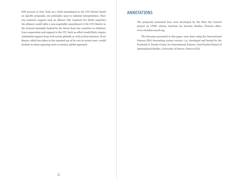IGN process in New York on a draft amendment to the UN Charter based on specific proposals, not principles open to national interpretation. Once 129 countries support such an alliance (the required two thirds majority), the alliance would table a non-negotiable amendment to the UN Charter in the General Assembly backed by the threat from key countries to withdraw from cooperation and support to the UN. Such an effort would likely require substantial support from civil society globally as well as from business. Even Russia, which has taken to the repeated use of its veto in recent years, would hesitate in alone opposing such a common, global approach.

## ANNOTATIONS

The proposals presented here were developed by the Elect the Council project on UNSC reform, Institute for Security Studies, Pretoria office: www.electthecouncil.org.

The forecasts presented in this paper were done using the International Futures (IFs) forecasting system version 7.31. developed and hosted by the Frederick S. Pardee Center for International Futures, Josef Korbel School of International Studies, University of Denver, Denver (CO).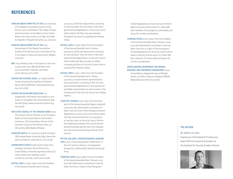## **REFERENCES**

AFRICAN UNION COMMITTEE OF TEN 2017: Outcome of the Malabo Consultative Summit of the African Union Committee of Ten Heads of State and Government on the Reform of the United Nations Security Council, 14-17 May 2017, Malabo, Republic of Equatorial Guinea, 14.-17.05.2017.

#### AFRICAN UNION COMMITTEE OF TEN 2017:

Communiqué of the Malabo Consultative Summit of the African Union Committee of Ten (C-10) Heads of State and Government, Malabo, 17.05.2017.

- BBC 2015: Amnesty calls on UN powers to lose veto on genocide votes, BBC World News from 25.02.2015 [\(http://www.bbc.com/news/](http://www.bbc.com/news/world-31617141) [world-31617141](http://www.bbc.com/news/world-31617141), 16.01.2018).
- CENTER FOR SYSTEMIC PEACE n.d.: Global Conflict Trends, Assessing the Qualities of Systemic Peace, Vienna (VA) [\(http://www.systemicpeace.](http://www.systemicpeace.org) [org,](http://www.systemicpeace.org) 16.01.2018).

#### CENTER FOR UN REFORM EDUCATION n.d.:

Independent information and analysis on proposals to strengthen the United Nations, New York (NY) [\(http://www.centerforunreform.org](http://www.centerforunreform.org), 16.01.2018).

#### EXECUTIVE COUNCIL OF THE AFRICAN UNION 2005:

The Common African Position on the Proposed Reform of the United Nations: The Ezulwini Consensus, 7th Extraordinary Session of the Executive Council of the African Union, 07.- 08.03.2005, Addis Ababa, Ethiopia.

GENOCIDE WATCH n.d.: Countries at Risk, Arlington (VA), George Mason University [\(http://genocide](http://www.centerforunreform.org)[watch.net/alerts-2/new-alerts/](http://www.centerforunreform.org), 16.01.2018).

HUMAN RIGHTS WATCH 2016: South Sudan: Arms Embargo, Sanctions Fail at UN Security Council ([https://www.hrw.org/news/2016/12/23/](https://www.hrw.org/news/2016/12/23/south-sudan-arms-embargo-sanctions-fail-un-security-council) [south-sudan-arms-embargo-sancti](https://www.hrw.org/news/2016/12/23/south-sudan-arms-embargo-sanctions-fail-un-security-council)[ons-fail-un-security-council](https://www.hrw.org/news/2016/12/23/south-sudan-arms-embargo-sanctions-fail-un-security-council), 16.01.2018).

KUTESA, SAM K. 2015a: Letter from the President of the General Assembly Sam K. Kutesa,

13.05.2015, SC/6A with attachments consisting of covering letter from the Chair of the Intergovernmental Negotiations on Security Council reform dated 13th May 2015 and amended framework document as populated by Member States.

- KUTESA, SAM K. 2015b: Letter from the President of the General Assembly Sam K. Kutesa, 05.05.2015, SC/6A with attachment consisting of covering letter from the Chair of the Intergovernmental Negotiations on Security Council reform dated 4th May 2015 and six letters conveying positions on Security Council reform received from Member States.
- KUTESA, SAM K. 2015c: Letter from the President of the General Assembly Sam K. Kutesa, 31.07.2015, to all permanent representatives with attachments consisting of Text for Intergovernmental Negotiations on the question of equitable representation on and increase in the membership of the Security Council and related matters.
- LYKKETOFT, MOGENS 2016: Letter from the President of the General Assembly Mogens Lykketoft, 17.05.2016, with attachments consisting of a letter from the Chair of the Intergovernmental Negotiations on Security Council reform dated 17th May 2016 and Elements of convergence on two key issues on Security Council reform: the relationship between the Council and the General Assembly, and the size of an enlarged Security Council and working methods of the Council.

#### POTTER, WILLIAM C./MUKHATZHANOVA, GUAKHAR

- (EDS.) 2010: Forecasting Nuclear Proliferation in the 21st Century: Volume 2, A Comparative Perspective, Stanford (CA): Stanford University Press.
- THOMSON, PETER 2017a: Letter from the President of the General Assembly Peter Thomson, 31.03. 2017, with attachments consisting of covering letter from the co-Chairs of the Intergovern-

mental Negotiations on Security Council reform dated 31.03.2017 and document Co-Chairs IGN GA71, Elements of Convergence, Communality and Issues for Further Consideration.

THOMSON, PETER 2017b: Letter from the President of the General Assembly Peter Thomson, 27.06. 2017, with attachments consisting of covering letter from the co-Chairs of the Intergovernmental Negotiations on Security Council reform dated 23.06.2017 and document Co-Chairs IGN GA71, Elements of Communality and Issues for Further Consideration.

#### UNITED NATIONS DEPARTMENT FOR GENERAL ASSEMBLY AND CONFERENCE MANAGEMENT 2014: United Nations Regional Groups of Member

States, n.p. ([http://www.un.org/depts/DGACM/](http://www.un.org/depts/DGACM/RegionalGroups.shtml) [RegionalGroups.shtml](http://www.un.org/depts/DGACM/RegionalGroups.shtml), 16.01.2018).

#### THE AUTHOR

#### DR JAKKIE CILLIERS

Chairperson of the Board of Trustees and head of African Futures & Innovation at the Institute for Security Studies, Pretoria

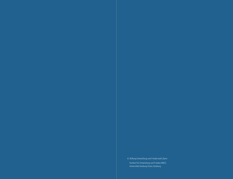© Stiftung Entwicklung und Frieden (sef:), Bonn Institut für Entwicklung und Frieden (INEF), Universität Duisburg-Essen, Duisburg